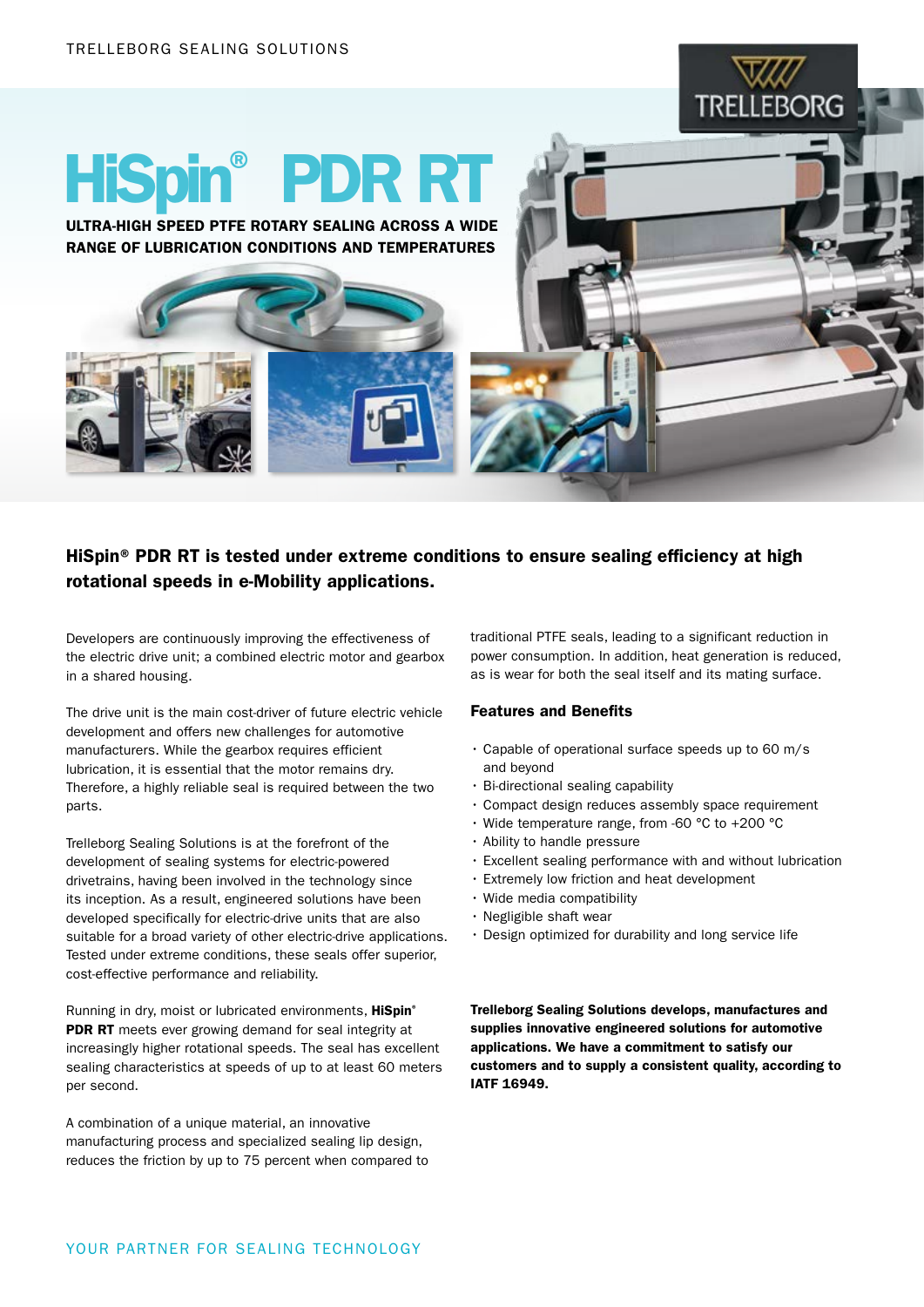

# HiSpin® PDR RT

ULTRA-HIGH SPEED PTFE ROTARY SEALING ACROSS A WIDE RANGE OF LUBRICATION CONDITIONS AND TEMPERATURES

# HiSpin® PDR RT is tested under extreme conditions to ensure sealing efficiency at high rotational speeds in e-Mobility applications.

Developers are continuously improving the effectiveness of the electric drive unit; a combined electric motor and gearbox in a shared housing.

The drive unit is the main cost-driver of future electric vehicle development and offers new challenges for automotive manufacturers. While the gearbox requires efficient lubrication, it is essential that the motor remains dry. Therefore, a highly reliable seal is required between the two parts.

Trelleborg Sealing Solutions is at the forefront of the development of sealing systems for electric-powered drivetrains, having been involved in the technology since its inception. As a result, engineered solutions have been developed specifically for electric-drive units that are also suitable for a broad variety of other electric-drive applications. Tested under extreme conditions, these seals offer superior, cost-effective performance and reliability.

Running in dry, moist or lubricated environments, HiSpin® PDR RT meets ever growing demand for seal integrity at increasingly higher rotational speeds. The seal has excellent sealing characteristics at speeds of up to at least 60 meters per second.

A combination of a unique material, an innovative manufacturing process and specialized sealing lip design, reduces the friction by up to 75 percent when compared to traditional PTFE seals, leading to a significant reduction in power consumption. In addition, heat generation is reduced, as is wear for both the seal itself and its mating surface.

### Features and Benefits

- Capable of operational surface speeds up to 60 m/s and beyond
- Bi-directional sealing capability
- Compact design reduces assembly space requirement
- Wide temperature range, from -60 °C to +200 °C
- Ability to handle pressure
- Excellent sealing performance with and without lubrication
- Extremely low friction and heat development
- Wide media compatibility
- Negligible shaft wear
- Design optimized for durability and long service life

Trelleborg Sealing Solutions develops, manufactures and supplies innovative engineered solutions for automotive applications. We have a commitment to satisfy our customers and to supply a consistent quality, according to IATF 16949.